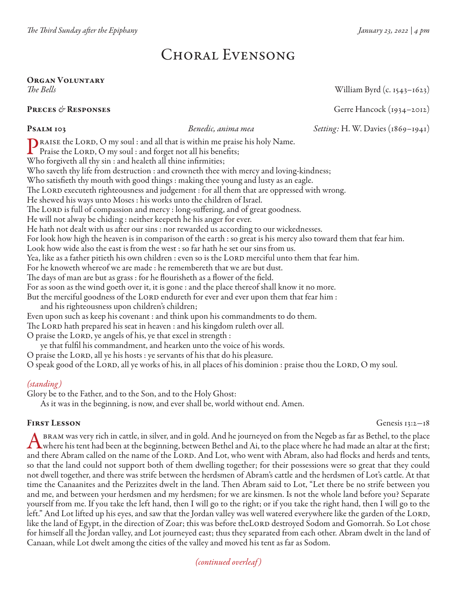# Choral Evensong

### Organ Voluntary *The Bells* William Byrd (c. 1543–1623)

### **PRECES & RESPONSES** Gerre Hancock (1934–2012)

Psalm 103 *Benedic, anima mea Setting:* H. W. Davies (1869–1941)

**The RAISE the LORD, O** my soul : and all that is within me praise his holy Name. Praise the LORD, O my soul : and forget not all his benefits; Who forgiveth all thy sin : and healeth all thine infirmities; Who saveth thy life from destruction : and crowneth thee with mercy and loving-kindness; Who satisfieth thy mouth with good things : making thee young and lusty as an eagle. The LORD executeth righteousness and judgement : for all them that are oppressed with wrong. He shewed his ways unto Moses : his works unto the children of Israel. The LORD is full of compassion and mercy : long-suffering, and of great goodness. He will not alway be chiding : neither keepeth he his anger for ever. He hath not dealt with us after our sins : nor rewarded us according to our wickednesses. For look how high the heaven is in comparison of the earth : so great is his mercy also toward them that fear him. Look how wide also the east is from the west : so far hath he set our sins from us. Yea, like as a father pitieth his own children : even so is the LORD merciful unto them that fear him. For he knoweth whereof we are made : he remembereth that we are but dust. The days of man are but as grass : for he flourisheth as a flower of the field. For as soon as the wind goeth over it, it is gone : and the place thereof shall know it no more. But the merciful goodness of the LORD endureth for ever and ever upon them that fear him : and his righteousness upon children's children; Even upon such as keep his covenant : and think upon his commandments to do them. The LORD hath prepared his seat in heaven : and his kingdom ruleth over all. O praise the LORD, ye angels of his, ye that excel in strength :

ye that fulfil his commandment, and hearken unto the voice of his words. O praise the Lord, all ye his hosts : ye servants of his that do his pleasure.

O speak good of the LORD, all ye works of his, in all places of his dominion : praise thou the LORD, O my soul.

### *(standing)*

Glory be to the Father, and to the Son, and to the Holy Ghost:

As it was in the beginning, is now, and ever shall be, world without end. Amen.

FIRST LESSON Genesis 13:2-18

**A BRAM** was very rich in cattle, in silver, and in gold. And he journeyed on from the Negeb as far as Bethel, to the place<br>where his tent had been at the beginning, between Bethel and Ai, to the place where he had made an and there Abram called on the name of the LORD. And Lot, who went with Abram, also had flocks and herds and tents, so that the land could not support both of them dwelling together; for their possessions were so great that they could not dwell together, and there was strife between the herdsmen of Abram's cattle and the herdsmen of Lot's cattle. At that time the Canaanites and the Perizzites dwelt in the land. Then Abram said to Lot, "Let there be no strife between you and me, and between your herdsmen and my herdsmen; for we are kinsmen. Is not the whole land before you? Separate yourself from me. If you take the left hand, then I will go to the right; or if you take the right hand, then I will go to the left." And Lot lifted up his eyes, and saw that the Jordan valley was well watered everywhere like the garden of the LORD, like the land of Egypt, in the direction of Zoar; this was before the LORD destroyed Sodom and Gomorrah. So Lot chose for himself all the Jordan valley, and Lot journeyed east; thus they separated from each other. Abram dwelt in the land of Canaan, while Lot dwelt among the cities of the valley and moved his tent as far as Sodom.

*(continued overleaf )*